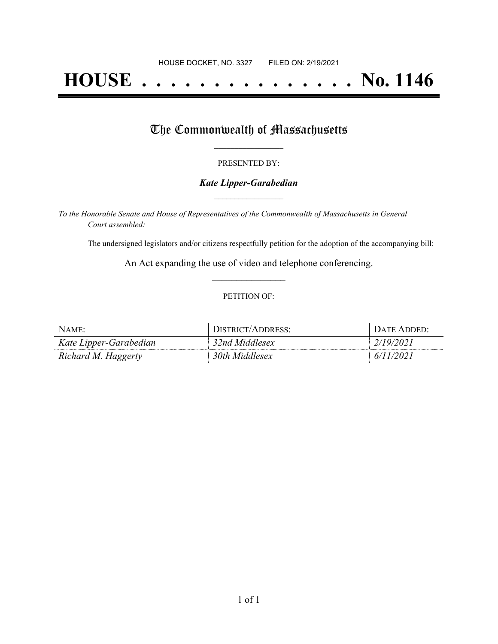# **HOUSE . . . . . . . . . . . . . . . No. 1146**

## The Commonwealth of Massachusetts

#### PRESENTED BY:

#### *Kate Lipper-Garabedian* **\_\_\_\_\_\_\_\_\_\_\_\_\_\_\_\_\_**

*To the Honorable Senate and House of Representatives of the Commonwealth of Massachusetts in General Court assembled:*

The undersigned legislators and/or citizens respectfully petition for the adoption of the accompanying bill:

An Act expanding the use of video and telephone conferencing. **\_\_\_\_\_\_\_\_\_\_\_\_\_\_\_**

#### PETITION OF:

| NAME:                  | DISTRICT/ADDRESS: | <b>DATE ADDED:</b> |
|------------------------|-------------------|--------------------|
| Kate Lipper-Garabedian | 32nd Middlesex    | 2/19/2021          |
| Richard M. Haggerty    | 30th Middlesex    | 6/11/2021          |